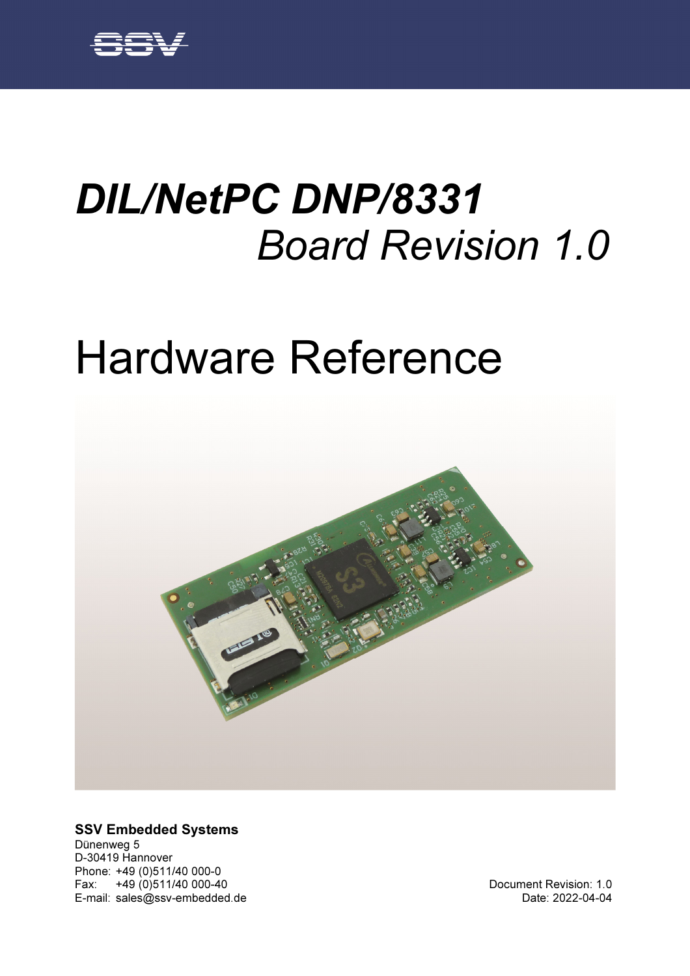# DIL/NetPC DNP/8331 Board Revision 1.0

# Hardware Reference



#### SSV Embedded Systems

Dünenweg 5 D-30419 Hannover Phone: +49 (0)511/40 000-0 Fax: +49 (0)511/40 000-40 E-mail: sales@ssv-embedded.de

Document Revision: 1.0 Date: 2022-04-04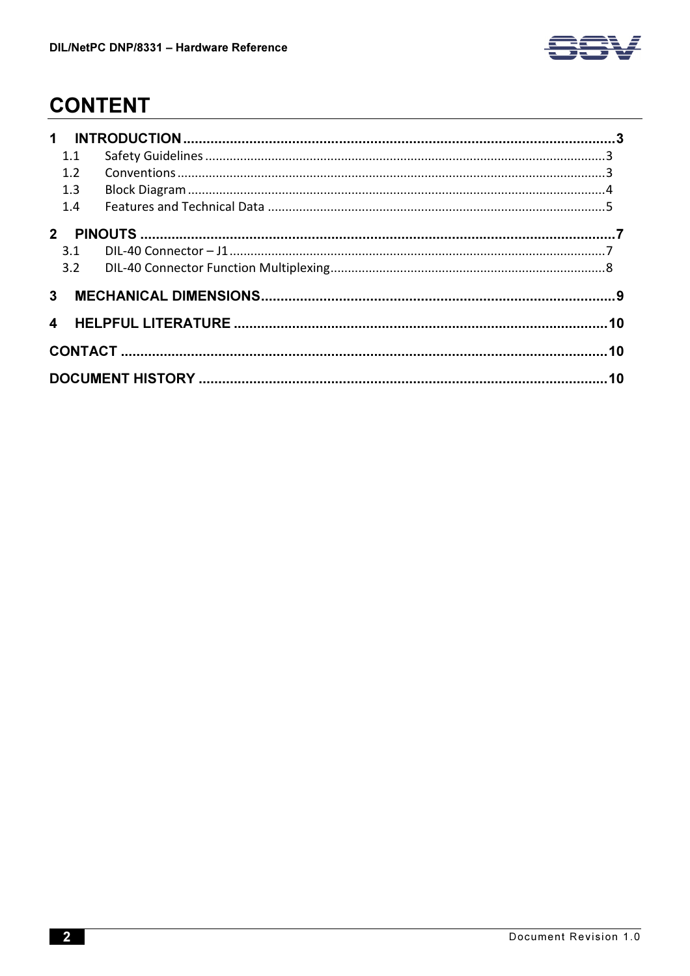

# **CONTENT**

|  | 1.1 |  |  |  |  |  |
|--|-----|--|--|--|--|--|
|  | 1.2 |  |  |  |  |  |
|  | 1.3 |  |  |  |  |  |
|  | 1.4 |  |  |  |  |  |
|  |     |  |  |  |  |  |
|  |     |  |  |  |  |  |
|  |     |  |  |  |  |  |
|  |     |  |  |  |  |  |
|  |     |  |  |  |  |  |
|  |     |  |  |  |  |  |
|  |     |  |  |  |  |  |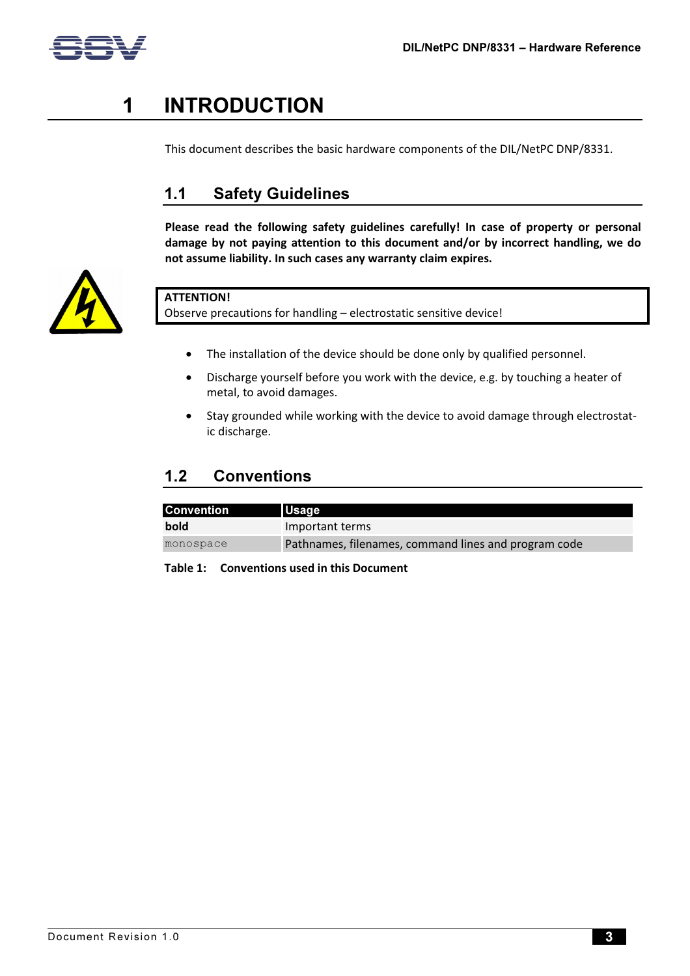

# 1 INTRODUCTION

This document describes the basic hardware components of the DIL/NetPC DNP/8331.

## 1.1 Safety Guidelines

Please read the following safety guidelines carefully! In case of property or personal damage by not paying attention to this document and/or by incorrect handling, we do not assume liability. In such cases any warranty claim expires.



## ATTENTION!

Observe precautions for handling – electrostatic sensitive device!

- The installation of the device should be done only by qualified personnel.
- Discharge yourself before you work with the device, e.g. by touching a heater of metal, to avoid damages.
- Stay grounded while working with the device to avoid damage through electrostatic discharge.

## 1.2 Conventions

| <b>Convention</b> | <b>Usage</b>                                         |
|-------------------|------------------------------------------------------|
| bold              | Important terms                                      |
| monospace         | Pathnames, filenames, command lines and program code |

Table 1: Conventions used in this Document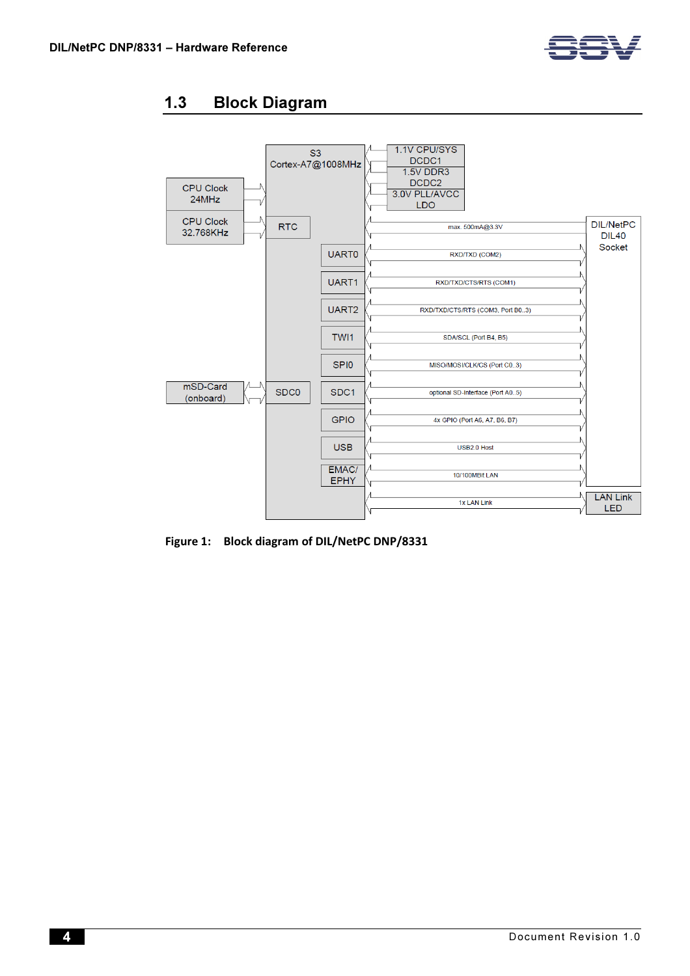

## 1.3 Block Diagram



Figure 1: Block diagram of DIL/NetPC DNP/8331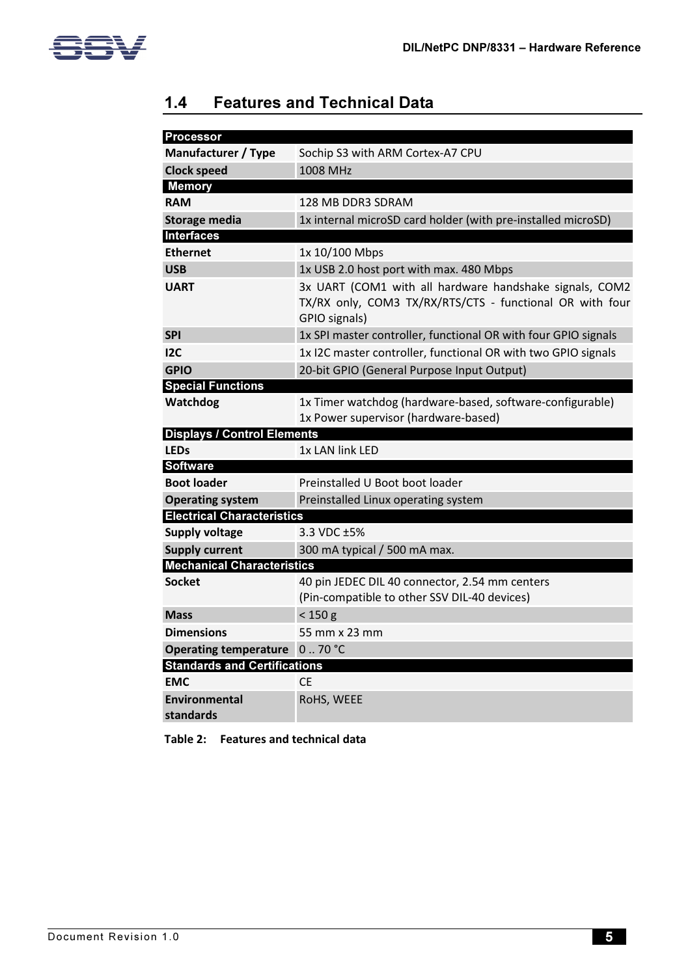

## 1.4 Features and Technical Data

| <b>Processor</b>                    |                                                                                                                                      |  |  |
|-------------------------------------|--------------------------------------------------------------------------------------------------------------------------------------|--|--|
| <b>Manufacturer / Type</b>          | Sochip S3 with ARM Cortex-A7 CPU                                                                                                     |  |  |
| <b>Clock speed</b>                  | 1008 MHz                                                                                                                             |  |  |
| <b>Memory</b>                       |                                                                                                                                      |  |  |
| <b>RAM</b>                          | 128 MB DDR3 SDRAM                                                                                                                    |  |  |
| <b>Storage media</b>                | 1x internal microSD card holder (with pre-installed microSD)                                                                         |  |  |
| <b>Interfaces</b>                   |                                                                                                                                      |  |  |
| <b>Ethernet</b>                     | 1x 10/100 Mbps                                                                                                                       |  |  |
| <b>USB</b>                          | 1x USB 2.0 host port with max. 480 Mbps                                                                                              |  |  |
| <b>UART</b>                         | 3x UART (COM1 with all hardware handshake signals, COM2<br>TX/RX only, COM3 TX/RX/RTS/CTS - functional OR with four<br>GPIO signals) |  |  |
| <b>SPI</b>                          | 1x SPI master controller, functional OR with four GPIO signals                                                                       |  |  |
| 12C                                 | 1x I2C master controller, functional OR with two GPIO signals                                                                        |  |  |
| <b>GPIO</b>                         | 20-bit GPIO (General Purpose Input Output)                                                                                           |  |  |
| <b>Special Functions</b>            |                                                                                                                                      |  |  |
| Watchdog                            | 1x Timer watchdog (hardware-based, software-configurable)<br>1x Power supervisor (hardware-based)                                    |  |  |
| <b>Displays / Control Elements</b>  |                                                                                                                                      |  |  |
| <b>LEDs</b>                         | 1x LAN link LED                                                                                                                      |  |  |
| <b>Software</b>                     |                                                                                                                                      |  |  |
| <b>Boot loader</b>                  | Preinstalled U Boot boot loader                                                                                                      |  |  |
| <b>Operating system</b>             | Preinstalled Linux operating system                                                                                                  |  |  |
| <b>Electrical Characteristics</b>   |                                                                                                                                      |  |  |
| <b>Supply voltage</b>               | 3.3 VDC ±5%                                                                                                                          |  |  |
| <b>Supply current</b>               | 300 mA typical / 500 mA max.                                                                                                         |  |  |
| <b>Mechanical Characteristics</b>   |                                                                                                                                      |  |  |
| <b>Socket</b>                       | 40 pin JEDEC DIL 40 connector, 2.54 mm centers<br>(Pin-compatible to other SSV DIL-40 devices)                                       |  |  |
| <b>Mass</b>                         | $<$ 150 g                                                                                                                            |  |  |
| <b>Dimensions</b>                   | 55 mm x 23 mm                                                                                                                        |  |  |
| Operating temperature 070 °C        |                                                                                                                                      |  |  |
| <b>Standards and Certifications</b> |                                                                                                                                      |  |  |
| <b>EMC</b>                          | <b>CE</b>                                                                                                                            |  |  |
| <b>Environmental</b>                | RoHS, WEEE                                                                                                                           |  |  |
| standards                           |                                                                                                                                      |  |  |

Table 2: Features and technical data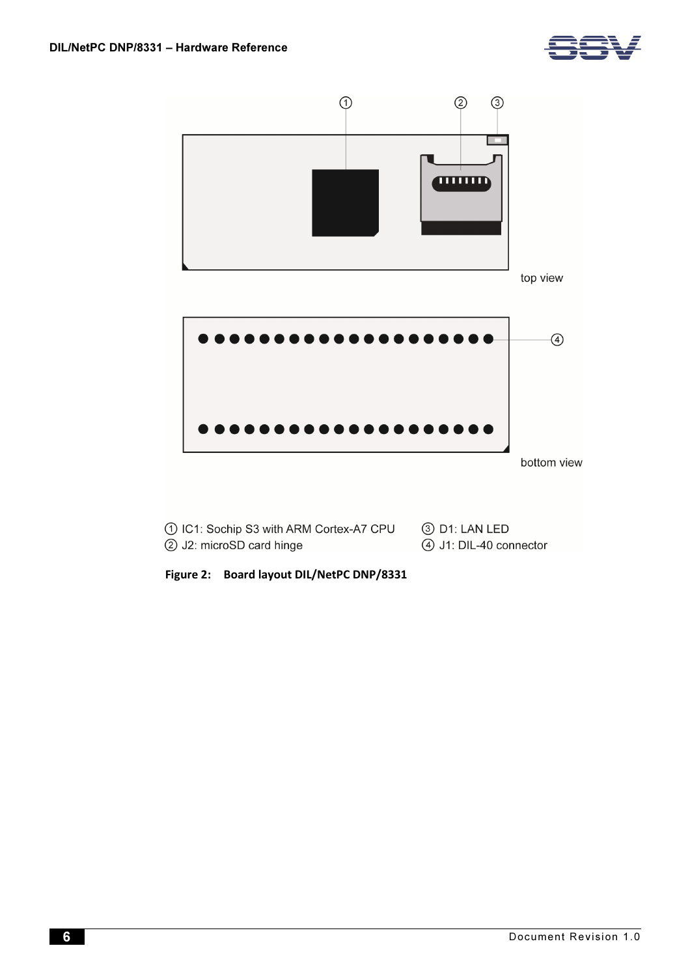



| 1 IC1: Sochip S3 with ARM Cortex-A7 CPU | ③ D1: LAN LED           |
|-----------------------------------------|-------------------------|
| (2) J2: microSD card hinge              | 4) J1: DIL-40 connector |

Figure 2: Board layout DIL/NetPC DNP/8331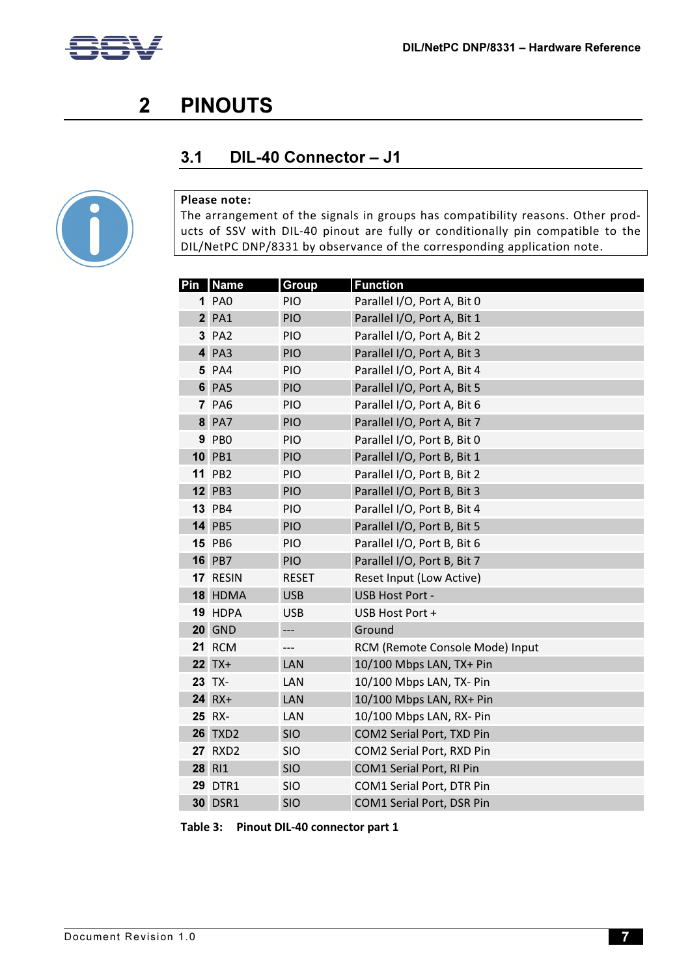

# 2 PINOUTS

### 3.1 DIL-40 Connector – J1



#### Please note:

The arrangement of the signals in groups has compatibility reasons. Other products of SSV with DIL-40 pinout are fully or conditionally pin compatible to the DIL/NetPC DNP/8331 by observance of the corresponding application note.

| Pin | <b>Name</b>    | <b>Group</b> | <b>Function</b>                 |
|-----|----------------|--------------|---------------------------------|
|     | <b>1 PAO</b>   | PIO          | Parallel I/O, Port A, Bit 0     |
|     | $2$ PA1        | PIO          | Parallel I/O, Port A, Bit 1     |
|     | 3 PA2          | <b>PIO</b>   | Parallel I/O, Port A, Bit 2     |
|     | $4$ PA3        | PIO          | Parallel I/O, Port A, Bit 3     |
|     | 5 PA4          | <b>PIO</b>   | Parallel I/O, Port A, Bit 4     |
|     | <b>6 PA5</b>   | PIO          | Parallel I/O, Port A, Bit 5     |
|     | <b>7 PA6</b>   | PIO          | Parallel I/O, Port A, Bit 6     |
|     | <b>8 PA7</b>   | PIO          | Parallel I/O, Port A, Bit 7     |
|     | <b>9 PBO</b>   | <b>PIO</b>   | Parallel I/O, Port B, Bit 0     |
|     | <b>10 PB1</b>  | PIO          | Parallel I/O, Port B, Bit 1     |
|     | <b>11 PB2</b>  | PIO          | Parallel I/O, Port B, Bit 2     |
|     | <b>12 PB3</b>  | <b>PIO</b>   | Parallel I/O, Port B, Bit 3     |
|     | <b>13 PB4</b>  | PIO          | Parallel I/O, Port B, Bit 4     |
|     | <b>14 PB5</b>  | PIO          | Parallel I/O, Port B, Bit 5     |
|     | <b>15 PB6</b>  | <b>PIO</b>   | Parallel I/O, Port B, Bit 6     |
|     | <b>16 PB7</b>  | PIO          | Parallel I/O, Port B, Bit 7     |
|     | 17 RESIN       | <b>RESET</b> | Reset Input (Low Active)        |
|     | 18 HDMA        | <b>USB</b>   | <b>USB Host Port -</b>          |
|     | 19 HDPA        | <b>USB</b>   | USB Host Port +                 |
|     | <b>20 GND</b>  | ---          | Ground                          |
|     | <b>21 RCM</b>  | ---          | RCM (Remote Console Mode) Input |
|     | $22$ TX+       | LAN          | 10/100 Mbps LAN, TX+ Pin        |
|     | 23 TX-         | LAN          | 10/100 Mbps LAN, TX- Pin        |
|     | 24 RX+         | LAN          | 10/100 Mbps LAN, RX+ Pin        |
|     | 25 RX-         | LAN          | 10/100 Mbps LAN, RX- Pin        |
|     | <b>26 TXD2</b> | SIO          | COM2 Serial Port, TXD Pin       |
|     | <b>27 RXD2</b> | <b>SIO</b>   | COM2 Serial Port, RXD Pin       |
|     | 28 RI1         | <b>SIO</b>   | <b>COM1 Serial Port, RI Pin</b> |
|     | <b>29 DTR1</b> | <b>SIO</b>   | COM1 Serial Port, DTR Pin       |
|     | <b>30 DSR1</b> | <b>SIO</b>   | COM1 Serial Port, DSR Pin       |

Table 3: Pinout DIL-40 connector part 1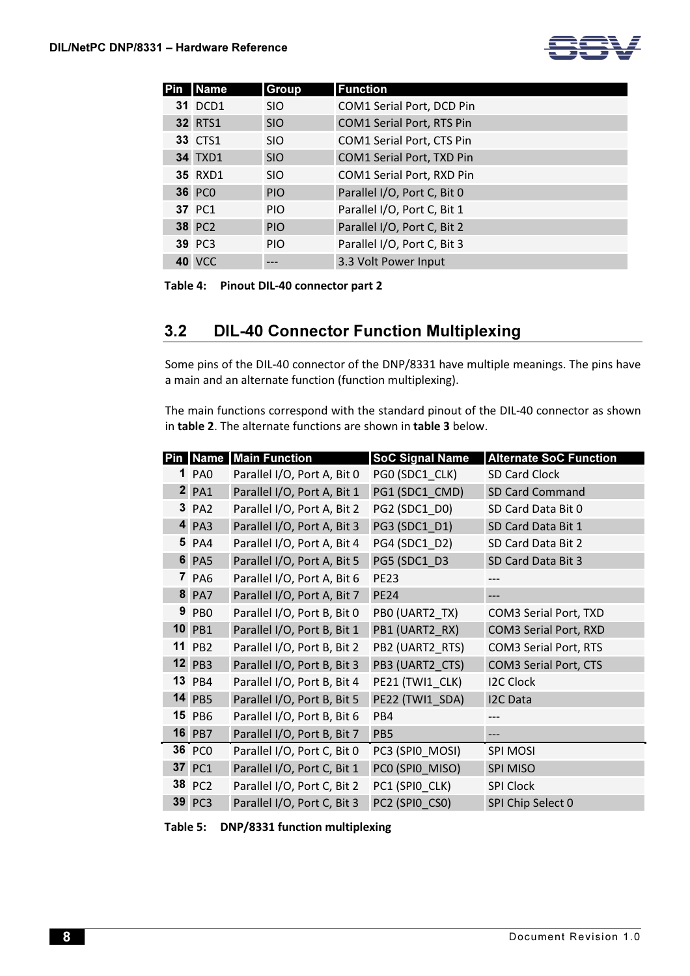

| <b>Name</b>    | Group      | <b>Function</b>                  |
|----------------|------------|----------------------------------|
| <b>31 DCD1</b> | <b>SIO</b> | COM1 Serial Port, DCD Pin        |
| <b>32 RTS1</b> | <b>SIO</b> | <b>COM1 Serial Port, RTS Pin</b> |
| <b>33 CTS1</b> | <b>SIO</b> | COM1 Serial Port, CTS Pin        |
| <b>34 TXD1</b> | <b>SIO</b> | COM1 Serial Port, TXD Pin        |
| <b>35 RXD1</b> | <b>SIO</b> | COM1 Serial Port, RXD Pin        |
| <b>36 PCO</b>  | <b>PIO</b> | Parallel I/O, Port C, Bit 0      |
| 37 PC1         | <b>PIO</b> | Parallel I/O, Port C, Bit 1      |
| <b>38 PC2</b>  | <b>PIO</b> | Parallel I/O, Port C, Bit 2      |
| <b>39 PC3</b>  | <b>PIO</b> | Parallel I/O, Port C, Bit 3      |
| <b>40 VCC</b>  |            | 3.3 Volt Power Input             |

Table 4: Pinout DIL-40 connector part 2

#### 3.2 DIL-40 Connector Function Multiplexing

Some pins of the DIL-40 connector of the DNP/8331 have multiple meanings. The pins have a main and an alternate function (function multiplexing).

The main functions correspond with the standard pinout of the DIL-40 connector as shown in table 2. The alternate functions are shown in table 3 below.

| Pin |               | Name Main Function          | <b>SoC Signal Name</b> | <b>Alternate SoC Function</b> |
|-----|---------------|-----------------------------|------------------------|-------------------------------|
|     | 1 PA0         | Parallel I/O, Port A, Bit 0 | PG0 (SDC1_CLK)         | SD Card Clock                 |
|     | $2$ PA1       | Parallel I/O, Port A, Bit 1 | PG1 (SDC1_CMD)         | SD Card Command               |
|     | 3 PA2         | Parallel I/O, Port A, Bit 2 | PG2 (SDC1 D0)          | SD Card Data Bit 0            |
|     | 4 PA3         | Parallel I/O, Port A, Bit 3 | PG3 (SDC1 D1)          | SD Card Data Bit 1            |
|     | 5 PA4         | Parallel I/O, Port A, Bit 4 | PG4 (SDC1 D2)          | SD Card Data Bit 2            |
|     | <b>6 PA5</b>  | Parallel I/O, Port A, Bit 5 | PG5 (SDC1_D3           | SD Card Data Bit 3            |
|     | 7 PA6         | Parallel I/O, Port A, Bit 6 | <b>PE23</b>            |                               |
|     | <b>8 PA7</b>  | Parallel I/O, Port A, Bit 7 | <b>PE24</b>            | ---                           |
|     | 9 PB0         | Parallel I/O, Port B, Bit 0 | PBO (UART2 TX)         | COM3 Serial Port, TXD         |
|     | <b>10 PB1</b> | Parallel I/O, Port B, Bit 1 | PB1 (UART2 RX)         | COM3 Serial Port, RXD         |
|     | <b>11 PB2</b> | Parallel I/O, Port B, Bit 2 | PB2 (UART2 RTS)        | COM3 Serial Port, RTS         |
|     | <b>12 PB3</b> | Parallel I/O, Port B, Bit 3 | PB3 (UART2_CTS)        | COM3 Serial Port, CTS         |
|     | <b>13 PB4</b> | Parallel I/O, Port B, Bit 4 | PE21 (TWI1 CLK)        | <b>I2C Clock</b>              |
|     | <b>14 PB5</b> | Parallel I/O, Port B, Bit 5 | PE22 (TWI1 SDA)        | <b>I2C Data</b>               |
|     | <b>15 PB6</b> | Parallel I/O, Port B, Bit 6 | PB4                    |                               |
|     | <b>16 PB7</b> | Parallel I/O, Port B, Bit 7 | PB5                    | ---                           |
|     | <b>36 PCO</b> | Parallel I/O, Port C, Bit 0 | PC3 (SPIO_MOSI)        | <b>SPI MOSI</b>               |
|     | 37 PC1        | Parallel I/O, Port C, Bit 1 | PCO (SPIO MISO)        | <b>SPI MISO</b>               |
|     | 38 PC2        | Parallel I/O, Port C, Bit 2 | PC1 (SPIO CLK)         | <b>SPI Clock</b>              |
|     | <b>39 PC3</b> | Parallel I/O, Port C, Bit 3 | PC2 (SPIO_CSO)         | SPI Chip Select 0             |

Table 5: DNP/8331 function multiplexing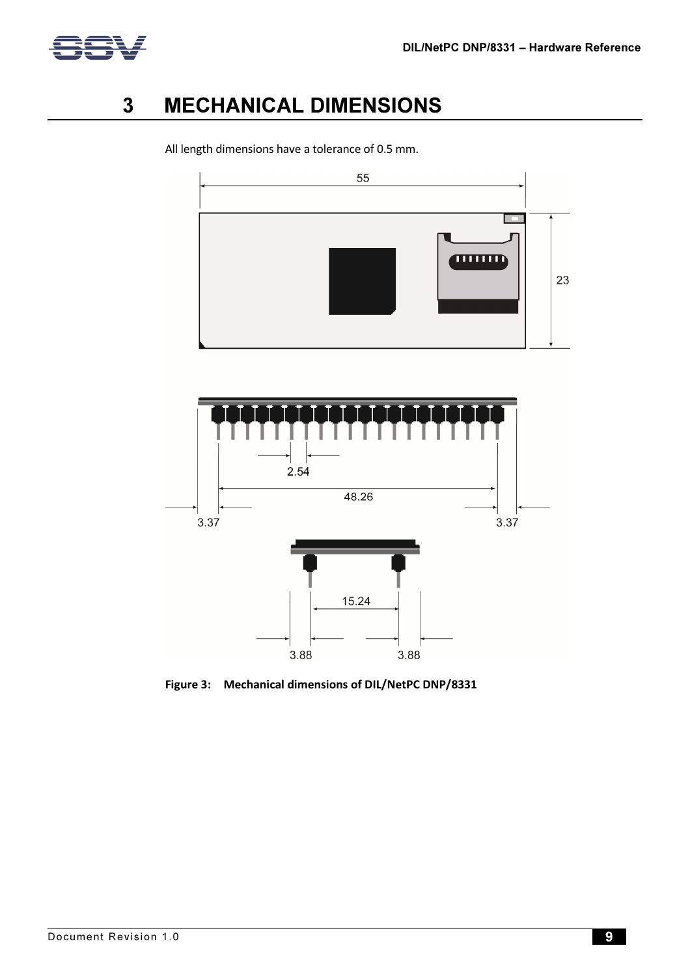

# 3 MECHANICAL DIMENSIONS



All length dimensions have a tolerance of 0.5 mm.



Figure 3: Mechanical dimensions of DIL/NetPC DNP/8331